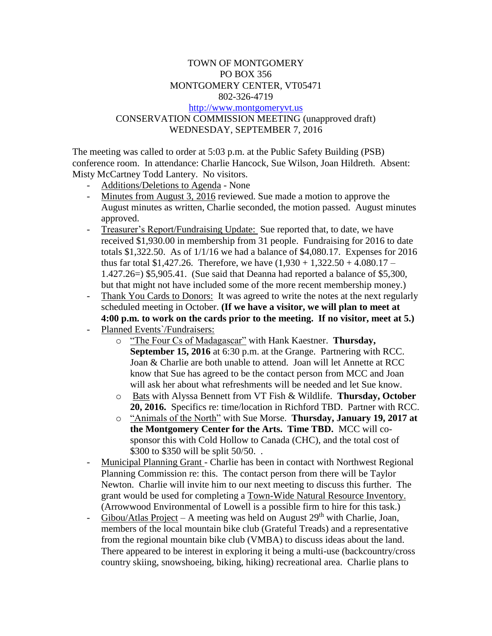## TOWN OF MONTGOMERY PO BOX 356 MONTGOMERY CENTER, VT05471 802-326-4719 [http://www.montgomeryvt.us](http://www.montgomeryvt.us/) CONSERVATION COMMISSION MEETING (unapproved draft) WEDNESDAY, SEPTEMBER 7, 2016

The meeting was called to order at 5:03 p.m. at the Public Safety Building (PSB) conference room. In attendance: Charlie Hancock, Sue Wilson, Joan Hildreth. Absent: Misty McCartney Todd Lantery. No visitors.

- Additions/Deletions to Agenda None
- Minutes from August 3, 2016 reviewed. Sue made a motion to approve the August minutes as written, Charlie seconded, the motion passed. August minutes approved.
- Treasurer's Report/Fundraising Update: Sue reported that, to date, we have received \$1,930.00 in membership from 31 people. Fundraising for 2016 to date totals \$1,322.50. As of 1/1/16 we had a balance of \$4,080.17. Expenses for 2016 thus far total \$1,427.26. Therefore, we have  $(1,930 + 1,322.50 + 4.080.17 -$ 1.427.26=) \$5,905.41. (Sue said that Deanna had reported a balance of \$5,300, but that might not have included some of the more recent membership money.)
- Thank You Cards to Donors: It was agreed to write the notes at the next regularly scheduled meeting in October. **(If we have a visitor, we will plan to meet at 4:00 p.m. to work on the cards prior to the meeting. If no visitor, meet at 5.)**
- Planned Events'/Fundraisers:
	- o "The Four Cs of Madagascar" with Hank Kaestner. **Thursday, September 15, 2016** at 6:30 p.m. at the Grange. Partnering with RCC. Joan & Charlie are both unable to attend. Joan will let Annette at RCC know that Sue has agreed to be the contact person from MCC and Joan will ask her about what refreshments will be needed and let Sue know.
	- o Bats with Alyssa Bennett from VT Fish & Wildlife. **Thursday, October 20, 2016.** Specifics re: time/location in Richford TBD. Partner with RCC.
	- o "Animals of the North" with Sue Morse. **Thursday, January 19, 2017 at the Montgomery Center for the Arts. Time TBD.** MCC will cosponsor this with Cold Hollow to Canada (CHC), and the total cost of \$300 to \$350 will be split 50/50...
- Municipal Planning Grant Charlie has been in contact with Northwest Regional Planning Commission re: this. The contact person from there will be Taylor Newton. Charlie will invite him to our next meeting to discuss this further. The grant would be used for completing a Town-Wide Natural Resource Inventory. (Arrowwood Environmental of Lowell is a possible firm to hire for this task.)
- Gibou/Atlas Project A meeting was held on August  $29<sup>th</sup>$  with Charlie, Joan, members of the local mountain bike club (Grateful Treads) and a representative from the regional mountain bike club (VMBA) to discuss ideas about the land. There appeared to be interest in exploring it being a multi-use (backcountry/cross country skiing, snowshoeing, biking, hiking) recreational area. Charlie plans to